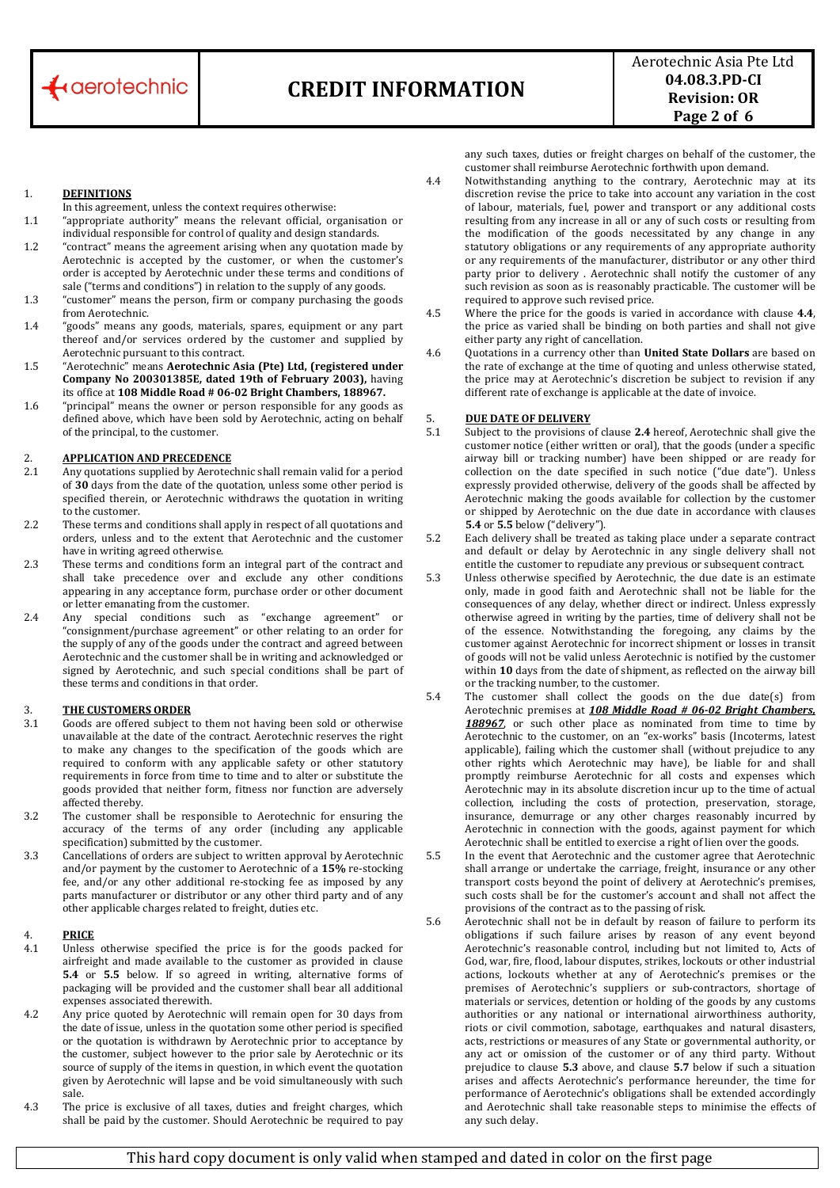

Aerotechnic Asia Pte Ltd **04.08.3.PDCI Revision: OR Page 2 of 6**

## 1. **DEFINITIONS**

- In this agreement, unless the context requires otherwise:
- 1.1 "appropriate authority" means the relevant official, organisation or individual responsible for control of quality and design standards.
- 1.2 "contract" means the agreement arising when any quotation made by Aerotechnic is accepted by the customer, or when the customer's order is accepted by Aerotechnic under these terms and conditions of sale ("terms and conditions") in relation to the supply of any goods.
- 1.3 "customer" means the person, firm or company purchasing the goods from Aerotechnic.
- 1.4 "goods" means any goods, materials, spares, equipment or any part thereof and/or services ordered by the customer and supplied by Aerotechnic pursuant to this contract.
- 1.5 "Aerotechnic" means **Aerotechnic Asia (Pte) Ltd, (registered under Company No 200301385E, dated 19th of February 2003),** having its office at **108 Middle Road # 0602 Bright Chambers, 188967.**
- 1.6 "principal" means the owner or person responsible for any goods as defined above, which have been sold by Aerotechnic, acting on behalf of the principal, to the customer.

# 2. **APPLICATION AND PRECEDENCE**<br>2.1 Any quotations supplied by Aerotec

- Any quotations supplied by Aerotechnic shall remain valid for a period of **30** days from the date of the quotation, unless some other period is specified therein, or Aerotechnic withdraws the quotation in writing to the customer.
- 2.2 These terms and conditions shall apply in respect of all quotations and orders, unless and to the extent that Aerotechnic and the customer have in writing agreed otherwise.
- 2.3 These terms and conditions form an integral part of the contract and shall take precedence over and exclude any other conditions appearing in any acceptance form, purchase order or other document or letter emanating from the customer.
- 2.4 Any special conditions such as "exchange agreement" "consignment/purchase agreement" or other relating to an order for the supply of any of the goods under the contract and agreed between Aerotechnic and the customer shall be in writing and acknowledged or signed by Aerotechnic, and such special conditions shall be part of these terms and conditions in that order.

# 3. **THE CUSTOMERS ORDER**

- Goods are offered subject to them not having been sold or otherwise unavailable at the date of the contract. Aerotechnic reserves the right to make any changes to the specification of the goods which are required to conform with any applicable safety or other statutory requirements in force from time to time and to alter or substitute the goods provided that neither form, fitness nor function are adversely affected thereby.
- 3.2 The customer shall be responsible to Aerotechnic for ensuring the accuracy of the terms of any order (including any applicable specification) submitted by the customer.
- 3.3 **Cancellations of orders are subject to written approval by Aerotechnic** and/or payment by the customer to Aerotechnic of a **15%** re‐stocking fee, and/or any other additional re-stocking fee as imposed by any parts manufacturer or distributor or any other third party and of any other applicable charges related to freight, duties etc.

## 4. **PRICE**

- 4.1 Unless otherwise specified the price is for the goods packed for airfreight and made available to the customer as provided in clause **5.4** or **5.5** below. If so agreed in writing, alternative forms of packaging will be provided and the customer shall bear all additional expenses associated therewith.
- 4.2 Any price quoted by Aerotechnic will remain open for 30 days from the date of issue, unless in the quotation some other period is specified or the quotation is withdrawn by Aerotechnic prior to acceptance by the customer, subject however to the prior sale by Aerotechnic or its source of supply of the items in question, in which event the quotation given by Aerotechnic will lapse and be void simultaneously with such sale.
- 4.3 The price is exclusive of all taxes, duties and freight charges, which shall be paid by the customer. Should Aerotechnic be required to pay

any such taxes, duties or freight charges on behalf of the customer, the customer shall reimburse Aerotechnic forthwith upon demand.

- 4.4 Notwithstanding anything to the contrary, Aerotechnic may at its discretion revise the price to take into account any variation in the cost of labour, materials, fuel, power and transport or any additional costs resulting from any increase in all or any of such costs or resulting from the modification of the goods necessitated by any change in any statutory obligations or any requirements of any appropriate authority or any requirements of the manufacturer, distributor or any other third party prior to delivery . Aerotechnic shall notify the customer of any such revision as soon as is reasonably practicable. The customer will be required to approve such revised price.
- 4.5 Where the price for the goods is varied in accordance with clause **4.4**, the price as varied shall be binding on both parties and shall not give either party any right of cancellation.
- 4.6 Quotations in a currency other than **United State Dollars** are based on the rate of exchange at the time of quoting and unless otherwise stated, the price may at Aerotechnic's discretion be subject to revision if any different rate of exchange is applicable at the date of invoice.

# 5. **DUE DATE OF DELIVERY**

- 5.1 Subject to the provisions of clause **2.4** hereof, Aerotechnic shall give the customer notice (either written or oral), that the goods (under a specific airway bill or tracking number) have been shipped or are ready for collection on the date specified in such notice ("due date"). Unless expressly provided otherwise, delivery of the goods shall be affected by Aerotechnic making the goods available for collection by the customer or shipped by Aerotechnic on the due date in accordance with clauses **5.4** or **5.5** below ("delivery").
- 5.2 Each delivery shall be treated as taking place under a separate contract and default or delay by Aerotechnic in any single delivery shall not entitle the customer to repudiate any previous or subsequent contract.
- 5.3 Unless otherwise specified by Aerotechnic, the due date is an estimate only, made in good faith and Aerotechnic shall not be liable for the consequences of any delay, whether direct or indirect. Unless expressly otherwise agreed in writing by the parties, time of delivery shall not be of the essence. Notwithstanding the foregoing, any claims by the customer against Aerotechnic for incorrect shipment or losses in transit of goods will not be valid unless Aerotechnic is notified by the customer within **10** days from the date of shipment, as reflected on the airway bill or the tracking number, to the customer.
- 5.4 The customer shall collect the goods on the due date(s) from Aerotechnic premises at *108 Middle Road # 0602 Bright Chambers,* 188967, or such other place as nominated from time to time by Aerotechnic to the customer, on an "ex-works" basis (Incoterms, latest applicable), failing which the customer shall (without prejudice to any other rights which Aerotechnic may have), be liable for and shall promptly reimburse Aerotechnic for all costs and expenses which Aerotechnic may in its absolute discretion incur up to the time of actual collection, including the costs of protection, preservation, storage, insurance, demurrage or any other charges reasonably incurred by Aerotechnic in connection with the goods, against payment for which Aerotechnic shall be entitled to exercise a right of lien over the goods.
- 5.5 In the event that Aerotechnic and the customer agree that Aerotechnic shall arrange or undertake the carriage, freight, insurance or any other transport costs beyond the point of delivery at Aerotechnic's premises, such costs shall be for the customer's account and shall not affect the provisions of the contract as to the passing of risk.
- 5.6 Aerotechnic shall not be in default by reason of failure to perform its obligations if such failure arises by reason of any event beyond Aerotechnic's reasonable control, including but not limited to, Acts of God, war, fire, flood, labour disputes, strikes, lockouts or other industrial actions, lockouts whether at any of Aerotechnic's premises or the premises of Aerotechnic's suppliers or sub-contractors, shortage of materials or services, detention or holding of the goods by any customs authorities or any national or international airworthiness authority, riots or civil commotion, sabotage, earthquakes and natural disasters, acts, restrictions or measures of any State or governmental authority, or any act or omission of the customer or of any third party. Without prejudice to clause **5.3** above, and clause **5.7** below if such a situation arises and affects Aerotechnic's performance hereunder, the time for performance of Aerotechnic's obligations shall be extended accordingly and Aerotechnic shall take reasonable steps to minimise the effects of any such delay.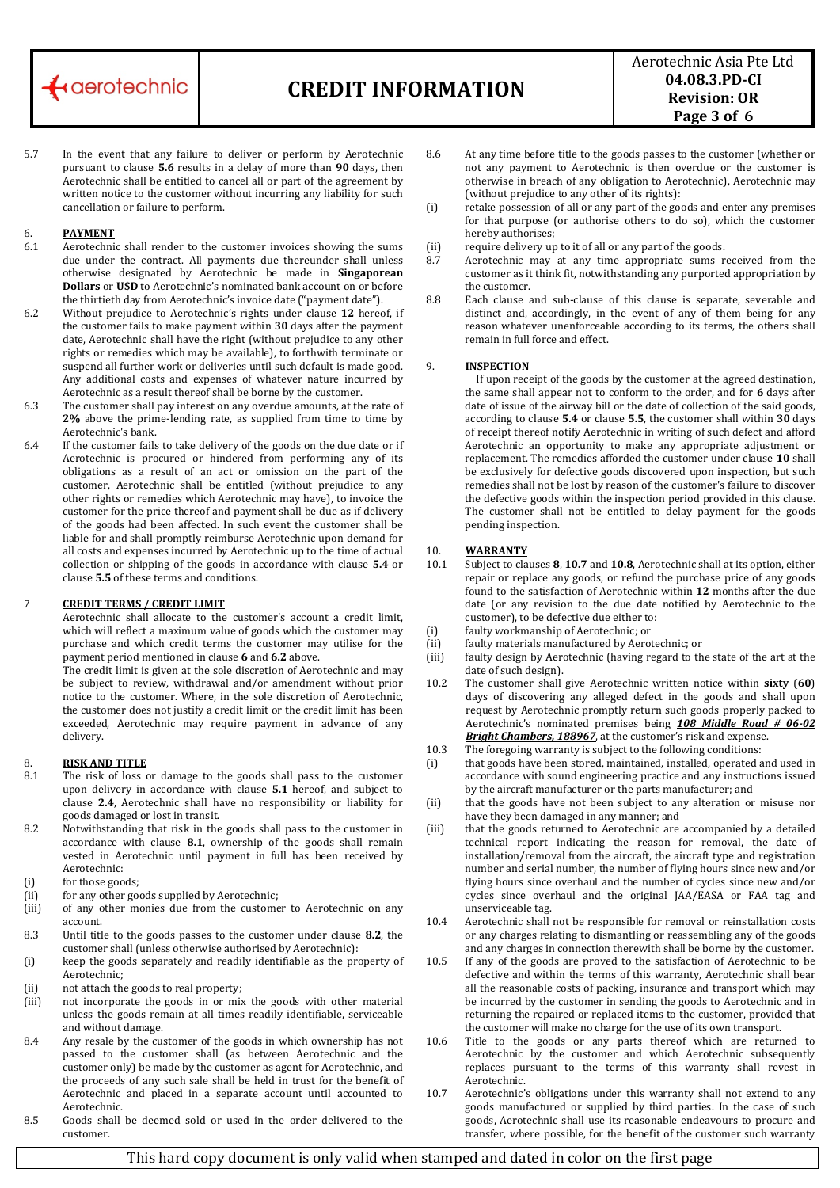

Aerotechnic Asia Pte Ltd **04.08.3.PDCI Revision: OR Page 3 of 6**

5.7 In the event that any failure to deliver or perform by Aerotechnic pursuant to clause **5.6** results in a delay of more than **90** days, then Aerotechnic shall be entitled to cancel all or part of the agreement by written notice to the customer without incurring any liability for such cancellation or failure to perform.

### 6. **PAYMENT**

- 6.1 Aerotechnic shall render to the customer invoices showing the sums due under the contract. All payments due thereunder shall unless otherwise designated by Aerotechnic be made in **Singaporean Dollars** or U\$D to Aerotechnic's nominated bank account on or before the thirtieth day from Aerotechnic's invoice date ("payment date").
- 6.2 Without prejudice to Aerotechnic's rights under clause **12** hereof, if the customer fails to make payment within **30** days after the payment date, Aerotechnic shall have the right (without prejudice to any other rights or remedies which may be available), to forthwith terminate or suspend all further work or deliveries until such default is made good. Any additional costs and expenses of whatever nature incurred by Aerotechnic as a result thereof shall be borne by the customer.
- 6.3 The customer shall pay interest on any overdue amounts, at the rate of **2%** above the prime‐lending rate, as supplied from time to time by Aerotechnic's bank.
- 6.4 If the customer fails to take delivery of the goods on the due date or if Aerotechnic is procured or hindered from performing any of its obligations as a result of an act or omission on the part of the customer, Aerotechnic shall be entitled (without prejudice to any other rights or remedies which Aerotechnic may have), to invoice the customer for the price thereof and payment shall be due as if delivery of the goods had been affected. In such event the customer shall be liable for and shall promptly reimburse Aerotechnic upon demand for all costs and expenses incurred by Aerotechnic up to the time of actual collection or shipping of the goods in accordance with clause **5.4** or clause **5.5** of these terms and conditions.

## 7 **CREDIT TERMS / CREDIT LIMIT**

Aerotechnic shall allocate to the customer's account a credit limit, which will reflect a maximum value of goods which the customer may purchase and which credit terms the customer may utilise for the payment period mentioned in clause **6** and **6.2** above.

The credit limit is given at the sole discretion of Aerotechnic and may be subject to review, withdrawal and/or amendment without prior notice to the customer. Where, in the sole discretion of Aerotechnic, the customer does not justify a credit limit or the credit limit has been exceeded, Aerotechnic may require payment in advance of any delivery.

## 8. **RISK AND TITLE**

- 8.1 The risk of loss or damage to the goods shall pass to the customer upon delivery in accordance with clause **5.1** hereof, and subject to clause **2.4**, Aerotechnic shall have no responsibility or liability for goods damaged or lost in transit.
- 8.2 Notwithstanding that risk in the goods shall pass to the customer in accordance with clause 8.1, ownership of the goods shall remain vested in Aerotechnic until payment in full has been received by Aerotechnic:
- (i) for those goods;
- (ii) for any other goods supplied by Aerotechnic;
- (iii) of any other monies due from the customer to Aerotechnic on any account.
- 8.3 Until title to the goods passes to the customer under clause **8.2**, the customer shall (unless otherwise authorised by Aerotechnic):
- (i) keep the goods separately and readily identifiable as the property of Aerotechnic;
- (ii) not attach the goods to real property;
- (iii) not incorporate the goods in or mix the goods with other material unless the goods remain at all times readily identifiable, serviceable and without damage.
- 8.4 Any resale by the customer of the goods in which ownership has not passed to the customer shall (as between Aerotechnic and the customer only) be made by the customer as agent for Aerotechnic, and the proceeds of any such sale shall be held in trust for the benefit of Aerotechnic and placed in a separate account until accounted to Aerotechnic.
- 8.5 Goods shall be deemed sold or used in the order delivered to the customer.
- 8.6 At any time before title to the goods passes to the customer (whether or not any payment to Aerotechnic is then overdue or the customer is otherwise in breach of any obligation to Aerotechnic), Aerotechnic may (without prejudice to any other of its rights):
- (i) retake possession of all or any part of the goods and enter any premises for that purpose (or authorise others to do so), which the customer hereby authorises;
- (ii) require delivery up to it of all or any part of the goods.
- 8.7 Aerotechnic may at any time appropriate sums received from the customer as it think fit, notwithstanding any purported appropriation by the customer.
- 8.8 Each clause and sub-clause of this clause is separate, severable and distinct and, accordingly, in the event of any of them being for any reason whatever unenforceable according to its terms, the others shall remain in full force and effect.

### 9. **INSPECTION**

 If upon receipt of the goods by the customer at the agreed destination, the same shall appear not to conform to the order, and for **6** days after date of issue of the airway bill or the date of collection of the said goods, according to clause **5.4** or clause **5.5**, the customer shall within **30** days of receipt thereof notify Aerotechnic in writing of such defect and afford Aerotechnic an opportunity to make any appropriate adjustment or replacement. The remedies afforded the customer under clause **10** shall be exclusively for defective goods discovered upon inspection, but such remedies shall not be lost by reason of the customer's failure to discover the defective goods within the inspection period provided in this clause. The customer shall not be entitled to delay payment for the goods pending inspection.

# 10. **WARRANTY**

- 10.1 Subject to clauses **8**, **10.7** and **10.8**, Aerotechnic shall at its option, either repair or replace any goods, or refund the purchase price of any goods found to the satisfaction of Aerotechnic within **12** months after the due date (or any revision to the due date notified by Aerotechnic to the customer), to be defective due either to:
- (i) faulty workmanship of Aerotechnic; or
- (ii) faulty materials manufactured by Aerotechnic; or
- (iii) faulty design by Aerotechnic (having regard to the state of the art at the date of such design).
- 10.2 The customer shall give Aerotechnic written notice within **sixty** (**60**) days of discovering any alleged defect in the goods and shall upon request by Aerotechnic promptly return such goods properly packed to Aerotechnic's nominated premises being *108 Middle Road # 0602 Bright Chambers, 188967*, at the customer's risk and expense.
- The foregoing warranty is subject to the following conditions: 10.3
- (i) that goods have been stored, maintained, installed, operated and used in accordance with sound engineering practice and any instructions issued by the aircraft manufacturer or the parts manufacturer; and
- (ii) that the goods have not been subject to any alteration or misuse nor have they been damaged in any manner; and
- (iii) that the goods returned to Aerotechnic are accompanied by a detailed technical report indicating the reason for removal, the date of installation/removal from the aircraft, the aircraft type and registration number and serial number, the number of flying hours since new and/or flying hours since overhaul and the number of cycles since new and/or cycles since overhaul and the original JAA/EASA or FAA tag and unserviceable tag.
- 10.4 Aerotechnic shall not be responsible for removal or reinstallation costs or any charges relating to dismantling or reassembling any of the goods and any charges in connection therewith shall be borne by the customer.
- 10.5 If any of the goods are proved to the satisfaction of Aerotechnic to be defective and within the terms of this warranty, Aerotechnic shall bear all the reasonable costs of packing, insurance and transport which may be incurred by the customer in sending the goods to Aerotechnic and in returning the repaired or replaced items to the customer, provided that t the customer will make no charge for he use of its own transport.
- 10.6 Title to the goods or any parts thereof which are returned to Aerotechnic by the customer and which Aerotechnic subsequently replaces pursuant to the terms of this warranty shall revest in Aerotechnic.
- 10.7 Aerotechnic's obligations under this warranty shall not extend to any goods manufactured or supplied by third parties. In the case of such goods, Aerotechnic shall use its reasonable endeavours to procure and transfer, where possible, for the benefit of the customer such warranty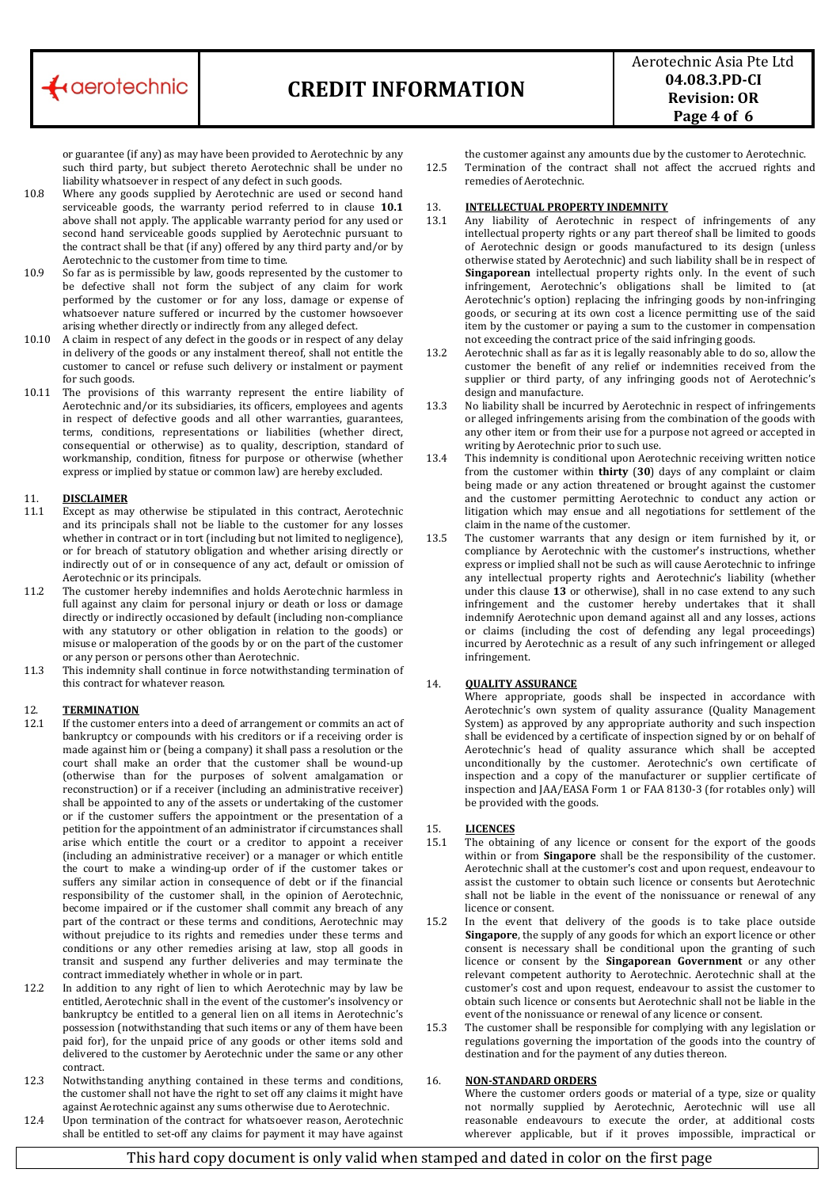

Aerotechnic Asia Pte Ltd **04.08.3.PDCI Revision: OR Page 4 of 6**

or guarantee (if any) as may have been provided to Aerotechnic by any such third party, but subject thereto Aerotechnic shall be under no liability whatsoever in respect of any defect in such goods.

- 10.8 Where any goods supplied by Aerotechnic are used or second hand serviceable goods, the warranty period referred to in clause **10.1** above shall not apply. The applicable warranty period for any used or second hand serviceable goods supplied by Aerotechnic pursuant to the contract shall be that (if any) offered by any third party and/or by Aerotechnic to the customer from time to time.
- 10.9 So far as is permissible by law, goods represented by the customer to be defective shall not form the subject of any claim for work performed by the customer or for any loss, damage or expense of whatsoever nature suffered or incurred by the customer howsoever arising whether directly or indirectly from any alleged defect.
- 10.10 A claim in respect of any defect in the goods or in respect of any delay in delivery of the goods or any instalment thereof, shall not entitle the customer to cancel or refuse such delivery or instalment or payment for such goods.
- 10.11 The provisions of this warranty represent the entire liability of Aerotechnic and/or its subsidiaries, its officers, employees and agents in respect of defective goods and all other warranties, guarantees, terms, conditions, representations or liabilities (whether direct, consequential or otherwise) as to quality, description, standard of workmanship, condition, fitness for purpose or otherwise (whether express or implied by statue or common law) are hereby excluded.

### 11. **DISCLAIMER**

- 11.1 Except as may otherwise be stipulated in this contract, Aerotechnic and its principals shall not be liable to the customer for any losses whether in contract or in tort (including but not limited to negligence), or for breach of statutory obligation and whether arising directly or indirectly out of or in consequence of any act, default or omission of Aerotechnic or its principals.
- 11.2 The customer hereby indemnifies and holds Aerotechnic harmless in full against any claim for personal injury or death or loss or damage directly or indirectly occasioned by default (including non‐compliance with any statutory or other obligation in relation to the goods) or misuse or maloperation of the goods by or on the part of the customer or any person or persons other than Aerotechnic.
- 1.3 This indemnity shall continue in force notwithstanding termination of this contract for whatever reason. 11.3

## 12. **TERMINATION**

- 12.1 If the customer enters into a deed of arrangement or commits an act of bankruptcy or compounds with his creditors or if a receiving order is made against him or (being a company) it shall pass a resolution or the court shall make an order that the customer shall be wound‐up (otherwise than for the purposes of solvent amalgamation or reconstruction) or if a receiver (including an administrative receiver) shall be appointed to any of the assets or undertaking of the customer or if the customer suffers the appointment or the presentation of a petition for the appointment of an administrator if circumstances shall arise which entitle the court or a creditor to appoint a receiver (including an administrative receiver) or a manager or which entitle the court to make a winding-up order of if the customer takes or suffers any similar action in consequence of debt or if the financial responsibility of the customer shall, in the opinion of Aerotechnic, become impaired or if the customer shall commit any breach of any part of the contract or these terms and conditions, Aerotechnic may without prejudice to its rights and remedies under these terms and conditions or any other remedies arising at law, stop all goods in transit and suspend any further deliveries and may terminate the contract immediately whether in whole or in part.
- 12.2 In addition to any right of lien to which Aerotechnic may by law be entitled, Aerotechnic shall in the event of the customer's insolvency or bankruptcy be entitled to a general lien on all items in Aerotechnic's possession (notwithstanding that such items or any of them have been paid for), for the unpaid price of any goods or other items sold and delivered to the customer by Aerotechnic under the same or any other contract.
- 12.3 Notwithstanding anything contained in these terms and conditions, the customer shall not have the right to set off any claims it might have against Aerotechnic against any sums otherwise due to Aerotechnic.
- 12.4 Upon termination of the contract for whatsoever reason, Aerotechnic shall be entitled to set‐off any claims for payment it may have against

the customer against any amounts due by the customer to Aerotechnic. Termination of the contract shall not affect the accrued rights and remedies of Aerotechnic.  $125$ 

# 13. **INTELLECTUAL PROPERTY INDEMNITY**

- 13.1 Any liability of Aerotechnic in respect of infringements of any intellectual property rights or any part thereof shall be limited to goods of Aerotechnic design or goods manufactured to its design (unless otherwise stated by Aerotechnic) and such liability shall be in respect of Singaporean intellectual property rights only. In the event of such infringement, Aerotechnic's obligations shall be limited to (at Aerotechnic's option) replacing the infringing goods by non‐infringing goods, or securing at its own cost a licence permitting use of the said item by the customer or paying a sum to the customer in compensation not exceeding the contract price of the said infringing goods.
- 13.2 Aerotechnic shall as far as it is legally reasonably able to do so, allow the customer the benefit of any relief or indemnities received from the supplier or third party, of any infringing goods not of Aerotechnic's design and manufacture.
- 13.3 No liability shall be incurred by Aerotechnic in respect of infringements or alleged infringements arising from the combination of the goods with any other item or from their use for a purpose not agreed or accepted in writing by Aerotechnic prior to such use.
- 13.4 This indemnity is conditional upon Aerotechnic receiving written notice from the customer within **thirty** (**30**) days of any complaint or claim being made or any action threatened or brought against the customer and the customer permitting Aerotechnic to conduct any action or litigation which may ensue and all negotiations for settlement of the claim in the name of the customer.
- 13.5 The customer warrants that any design or item furnished by it, or compliance by Aerotechnic with the customer's instructions, whether express or implied shall not be such as will cause Aerotechnic to infringe any intellectual property rights and Aerotechnic's liability (whether under this clause 13 or otherwise), shall in no case extend to any such infringement and the customer hereby undertakes that it shall indemnify Aerotechnic upon demand against all and any losses, actions or claims (including the cost of defending any legal proceedings) incurred by Aerotechnic as a result of any such infringement or alleged infringement.

## 14. **QUALITY ASSURANCE**

Where appropriate, goods shall be inspected in accordance with Aerotechnic's own system of quality assurance (Quality Management System) as approved by any appropriate authority and such inspection shall be evidenced by a certificate of inspection signed by or on behalf of Aerotechnic's head of quality assurance which shall be accepted unconditionally by the customer. Aerotechnic's own certificate of inspection and a copy of the manufacturer or supplier certificate of nspection and JAA/EASA Form 1 or FAA 8130‐3 (for rotables only) will i be provided with the goods.

## 15. **LICENCES**

- 15.1 The obtaining of any licence or consent for the export of the goods within or from **Singapore** shall be the responsibility of the customer. Aerotechnic shall at the customer's cost and upon request, endeavour to assist the customer to obtain such licence or consents but Aerotechnic shall not be liable in the event of the nonissuance or renewal of any licence or consent.
- 15.2 In the event that delivery of the goods is to take place outside **Singapore**, the supply of any goods for which an export licence or other consent is necessary shall be conditional upon the granting of such licence or consent by the **Singaporean Government** or any other relevant competent authority to Aerotechnic. Aerotechnic shall at the customer's cost and upon request, endeavour to assist the customer to obtain such licence or consents but Aerotechnic shall not be liable in the event of the nonissuance or renewal of any licence or consent.
- 15.3 The customer shall be responsible for complying with any legislation or regulations governing the importation of the goods into the country of destination and for the payment of any duties thereon.

# 16. **NONSTANDARD ORDERS**

Where the customer orders goods or material of a type, size or quality not normally supplied by Aerotechnic, Aerotechnic will use all reasonable endeavours to execute the order, at additional costs wherever applicable, but if it proves impossible, impractical or